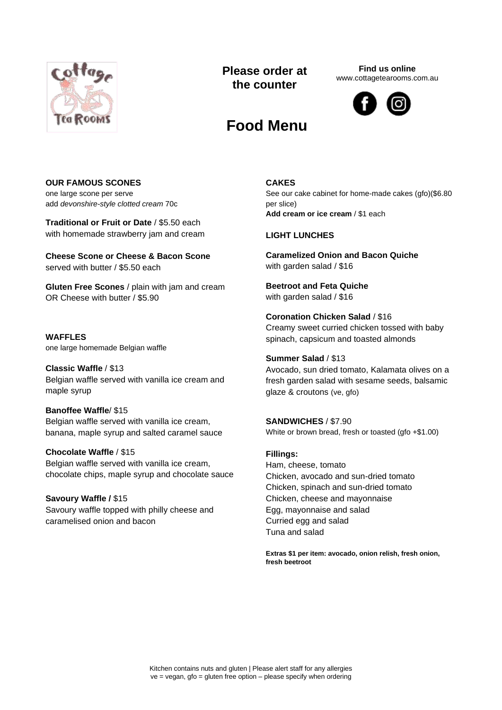

## **Please order at the counter**

**Find us online** www.cottagetearooms.com.au



# **Food Menu**

## **OUR FAMOUS SCONES**

one large scone per serve add *devonshire-style clotted cream* 70c

**Traditional or Fruit or Date** / \$5.50 each with homemade strawberry jam and cream

**Cheese Scone or Cheese & Bacon Scone** served with butter / \$5.50 each

**Gluten Free Scones** / plain with jam and cream OR Cheese with butter / \$5.90

**WAFFLES** one large homemade Belgian waffle

**Classic Waffle** / \$13 Belgian waffle served with vanilla ice cream and maple syrup

**Banoffee Waffle**/ \$15

Belgian waffle served with vanilla ice cream, banana, maple syrup and salted caramel sauce

**Chocolate Waffle** / \$15 Belgian waffle served with vanilla ice cream, chocolate chips, maple syrup and chocolate sauce

**Savoury Waffle /** \$15 Savoury waffle topped with philly cheese and caramelised onion and bacon

## **CAKES**

See our cake cabinet for home-made cakes (gfo)(\$6.80 per slice) **Add cream or ice cream** / \$1 each

## **LIGHT LUNCHES**

**Caramelized Onion and Bacon Quiche** with garden salad / \$16

**Beetroot and Feta Quiche** with garden salad / \$16

**Coronation Chicken Salad** / \$16 Creamy sweet curried chicken tossed with baby spinach, capsicum and toasted almonds

## **Summer Salad** / \$13

Avocado, sun dried tomato, Kalamata olives on a fresh garden salad with sesame seeds, balsamic glaze & croutons (ve, gfo)

**SANDWICHES** / \$7.90 White or brown bread, fresh or toasted (gfo +\$1.00)

**Fillings:** Ham, cheese, tomato Chicken, avocado and sun-dried tomato Chicken, spinach and sun-dried tomato Chicken, cheese and mayonnaise Egg, mayonnaise and salad Curried egg and salad Tuna and salad

**Extras \$1 per item: avocado, onion relish, fresh onion, fresh beetroot**